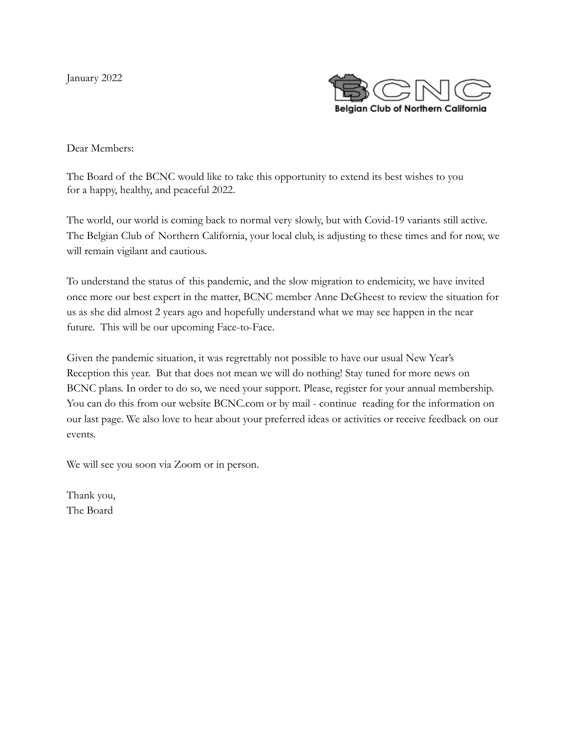January 2022



Dear Members:

The Board of the BCNC would like to take this opportunity to extend its best wishes to you for a happy, healthy, and peaceful 2022.

The world, our world is coming back to normal very slowly, but with Covid-19 variants still active. The Belgian Club of Northern California, your local club, is adjusting to these times and for now, we will remain vigilant and cautious.

To understand the status of this pandemic, and the slow migration to endemicity, we have invited once more our best expert in the matter, BCNC member Anne DeGheest to review the situation for us as she did almost 2 years ago and hopefully understand what we may see happen in the near future. This will be our upcoming Face-to-Face.

Given the pandemic situation, it was regrettably not possible to have our usual New Year's Reception this year. But that does not mean we will do nothing! Stay tuned for more news on BCNC plans. In order to do so, we need your support. Please, register for your annual membership. You can do this from our website BCNC.com or by mail - continue reading for the information on our last page. We also love to hear about your preferred ideas or activities or receive feedback on our events.

We will see you soon via Zoom or in person.

Thank you, The Board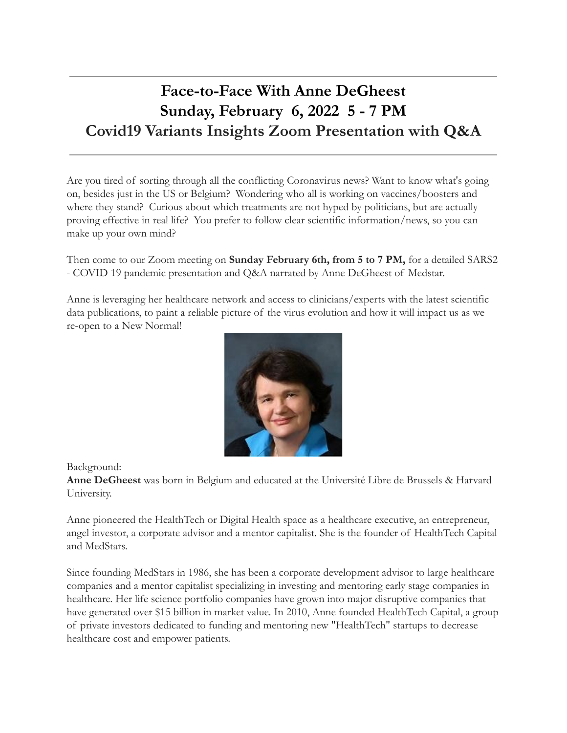# **Face-to-Face With Anne DeGheest Sunday, February 6, 2022 5 - 7 PM Covid19 Variants Insights Zoom Presentation with Q&A**

Are you tired of sorting through all the conflicting Coronavirus news? Want to know what's going on, besides just in the US or Belgium? Wondering who all is working on vaccines/boosters and where they stand? Curious about which treatments are not hyped by politicians, but are actually proving effective in real life? You prefer to follow clear scientific information/news, so you can make up your own mind?

Then come to our Zoom meeting on **Sunday February 6th, from 5 to 7 PM,** for a detailed SARS2 - COVID 19 pandemic presentation and Q&A narrated by Anne DeGheest of Medstar.

Anne is leveraging her healthcare network and access to clinicians/experts with the latest scientific data publications, to paint a reliable picture of the virus evolution and how it will impact us as we re-open to a New Normal!



Background:

**Anne DeGheest** was born in Belgium and educated at the Université Libre de Brussels & Harvard University.

Anne pioneered the HealthTech or Digital Health space as a healthcare executive, an entrepreneur, angel investor, a corporate advisor and a mentor capitalist. She is the founder of HealthTech Capital and MedStars.

Since founding MedStars in 1986, she has been a corporate development advisor to large healthcare companies and a mentor capitalist specializing in investing and mentoring early stage companies in healthcare. Her life science portfolio companies have grown into major disruptive companies that have generated over \$15 billion in market value. In 2010, Anne founded HealthTech Capital, a group of private investors dedicated to funding and mentoring new "HealthTech" startups to decrease healthcare cost and empower patients.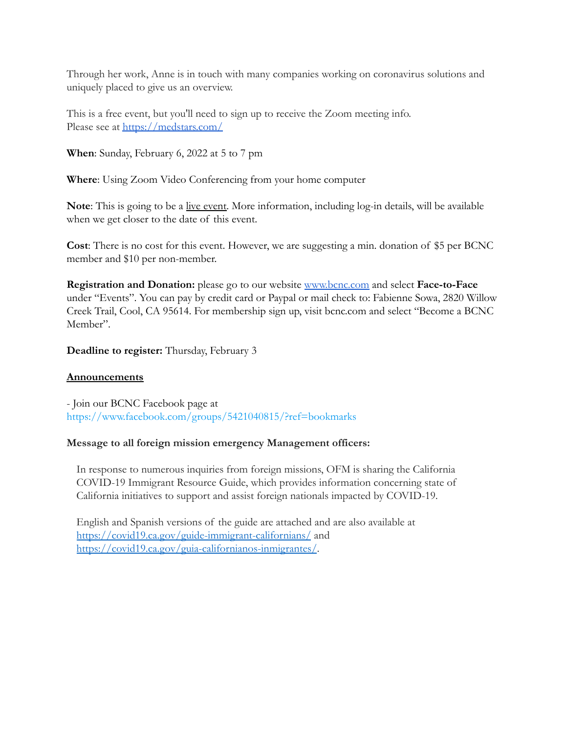Through her work, Anne is in touch with many companies working on coronavirus solutions and uniquely placed to give us an overview.

This is a free event, but you'll need to sign up to receive the Zoom meeting info. Please see at <https://medstars.com/>

**When**: Sunday, February 6, 2022 at 5 to 7 pm

**Where**: Using Zoom Video Conferencing from your home computer

**Note**: This is going to be a live event. More information, including log-in details, will be available when we get closer to the date of this event.

**Cost**: There is no cost for this event. However, we are suggesting a min. donation of \$5 per BCNC member and \$10 per non-member.

**Registration and Donation:** please go to our website [www.bcnc.com](http://www.bcnc.com) and select **Face-to-Face** under "Events". You can pay by credit card or Paypal or mail check to: Fabienne Sowa, 2820 Willow Creek Trail, Cool, CA 95614. For membership sign up, visit bcnc.com and select "Become a BCNC Member".

#### **Deadline to register:** Thursday, February 3

#### **Announcements**

- Join our BCNC Facebook page at <https://www.facebook.com/groups/5421040815/?ref=bookmarks>

#### **Message to all foreign mission emergency Management officers:**

In response to numerous inquiries from foreign missions, OFM is sharing the California COVID-19 Immigrant Resource Guide, which provides information concerning state of California initiatives to support and assist foreign nationals impacted by COVID-19.

English and Spanish versions of the guide are attached and are also available at <https://covid19.ca.gov/guide-immigrant-californians/> and <https://covid19.ca.gov/guia-californianos-inmigrantes/>.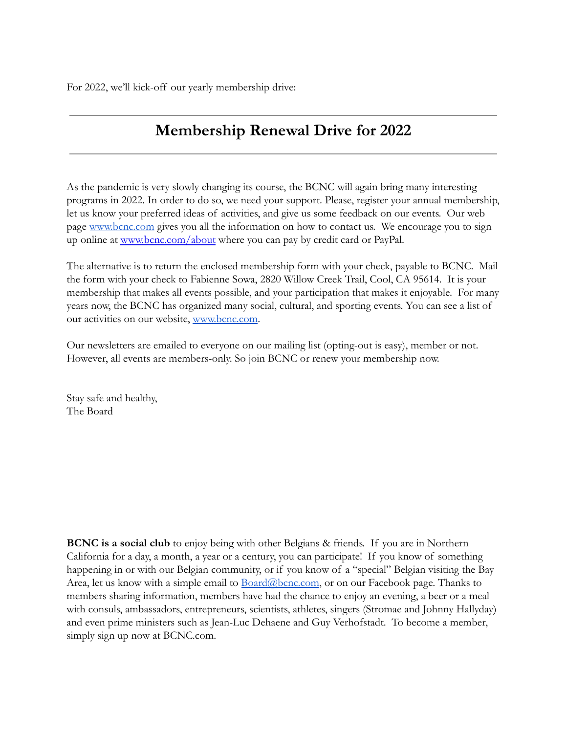For 2022, we'll kick-off our yearly membership drive:

## **Membership Renewal Drive for 2022**

As the pandemic is very slowly changing its course, the BCNC will again bring many interesting programs in 2022. In order to do so, we need your support. Please, register your annual membership, let us know your preferred ideas of activities, and give us some feedback on our events. Our web page [www.bcnc.com](http://www.bcnc.com) gives you all the information on how to contact us. We encourage you to sign up online at [www.bcnc.com/about](http://www.bcnc.com/about) where you can pay by credit card or PayPal.

The alternative is to return the enclosed membership form with your check, payable to BCNC. Mail the form with your check to Fabienne Sowa, 2820 Willow Creek Trail, Cool, CA 95614. It is your membership that makes all events possible, and your participation that makes it enjoyable. For many years now, the BCNC has organized many social, cultural, and sporting events. You can see a list of our activities on our website, [www.bcnc.com](http://www.bcnc.com).

Our newsletters are emailed to everyone on our mailing list (opting-out is easy), member or not. However, all events are members-only. So join BCNC or renew your membership now.

Stay safe and healthy, The Board

**BCNC is a social club** to enjoy being with other Belgians & friends. If you are in Northern California for a day, a month, a year or a century, you can participate! If you know of something happening in or with our Belgian community, or if you know of a "special" Belgian visiting the Bay Area, let us know with a simple email to **Board@bcnc.com**, or on our Facebook page. Thanks to members sharing information, members have had the chance to enjoy an evening, a beer or a meal with consuls, ambassadors, entrepreneurs, scientists, athletes, singers (Stromae and Johnny Hallyday) and even prime ministers such as Jean-Luc Dehaene and Guy Verhofstadt. To become a member, simply sign up now at BCNC.com.